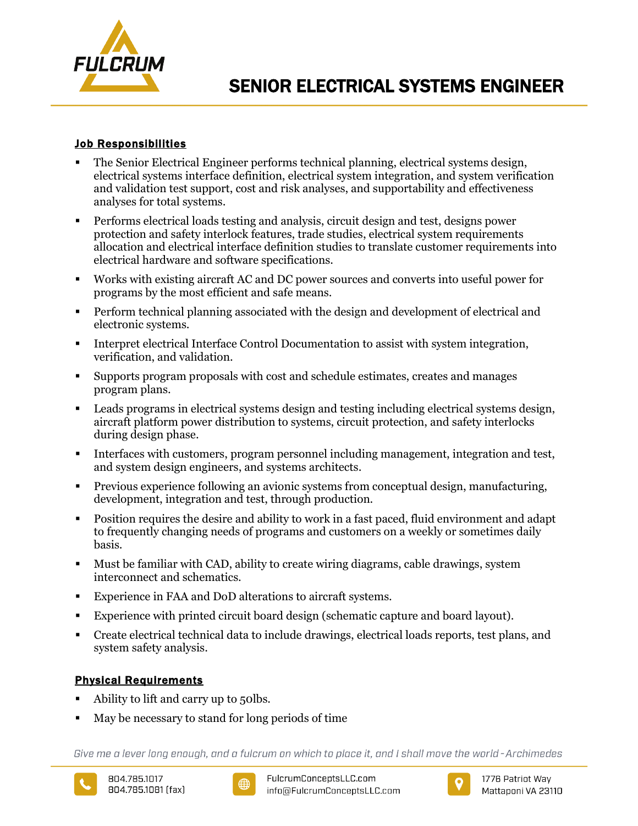

## Job Responsibilities

- The Senior Electrical Engineer performs technical planning, electrical systems design, electrical systems interface definition, electrical system integration, and system verification and validation test support, cost and risk analyses, and supportability and effectiveness analyses for total systems.
- Performs electrical loads testing and analysis, circuit design and test, designs power protection and safety interlock features, trade studies, electrical system requirements allocation and electrical interface definition studies to translate customer requirements into electrical hardware and software specifications.
- Works with existing aircraft AC and DC power sources and converts into useful power for programs by the most efficient and safe means.
- Perform technical planning associated with the design and development of electrical and electronic systems.
- Interpret electrical Interface Control Documentation to assist with system integration, verification, and validation.
- Supports program proposals with cost and schedule estimates, creates and manages program plans.
- Leads programs in electrical systems design and testing including electrical systems design, aircraft platform power distribution to systems, circuit protection, and safety interlocks during design phase.
- Interfaces with customers, program personnel including management, integration and test, and system design engineers, and systems architects.
- Previous experience following an avionic systems from conceptual design, manufacturing, development, integration and test, through production.
- Position requires the desire and ability to work in a fast paced, fluid environment and adapt to frequently changing needs of programs and customers on a weekly or sometimes daily basis.
- Must be familiar with CAD, ability to create wiring diagrams, cable drawings, system interconnect and schematics.
- Experience in FAA and DoD alterations to aircraft systems.
- Experience with printed circuit board design (schematic capture and board layout).
- Create electrical technical data to include drawings, electrical loads reports, test plans, and system safety analysis.

# Physical Requirements

- Ability to lift and carry up to 50lbs.
- May be necessary to stand for long periods of time

Give me a lever long enough, and a fulcrum on which to place it, and I shall move the world-Archimedes





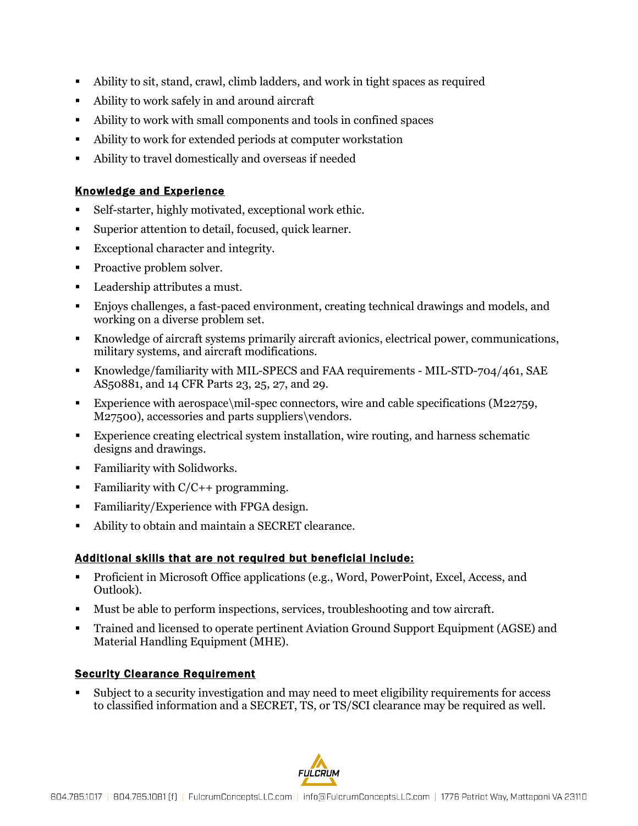- Ability to sit, stand, crawl, climb ladders, and work in tight spaces as required
- Ability to work safely in and around aircraft
- Ability to work with small components and tools in confined spaces
- Ability to work for extended periods at computer workstation
- Ability to travel domestically and overseas if needed

### Knowledge and Experience

- Self-starter, highly motivated, exceptional work ethic.
- Superior attention to detail, focused, quick learner.
- Exceptional character and integrity.
- Proactive problem solver.
- **Leadership attributes a must.**
- Enjoys challenges, a fast-paced environment, creating technical drawings and models, and working on a diverse problem set.
- Knowledge of aircraft systems primarily aircraft avionics, electrical power, communications, military systems, and aircraft modifications.
- Knowledge/familiarity with MIL-SPECS and FAA requirements MIL-STD-704/461, SAE AS50881, and 14 CFR Parts 23, 25, 27, and 29.
- Experience with aerospace $\mid$ mil-spec connectors, wire and cable specifications (M22759, M27500), accessories and parts suppliers\vendors.
- Experience creating electrical system installation, wire routing, and harness schematic designs and drawings.
- **Familiarity with Solidworks.**
- Familiarity with  $C/C++$  programming.
- Familiarity/Experience with FPGA design.
- Ability to obtain and maintain a SECRET clearance.

### Additional skills that are not required but beneficial include:

- Proficient in Microsoft Office applications (e.g., Word, PowerPoint, Excel, Access, and Outlook).
- Must be able to perform inspections, services, troubleshooting and tow aircraft.
- Trained and licensed to operate pertinent Aviation Ground Support Equipment (AGSE) and Material Handling Equipment (MHE).

### Security Clearance Requirement

 Subject to a security investigation and may need to meet eligibility requirements for access to classified information and a SECRET, TS, or TS/SCI clearance may be required as well.